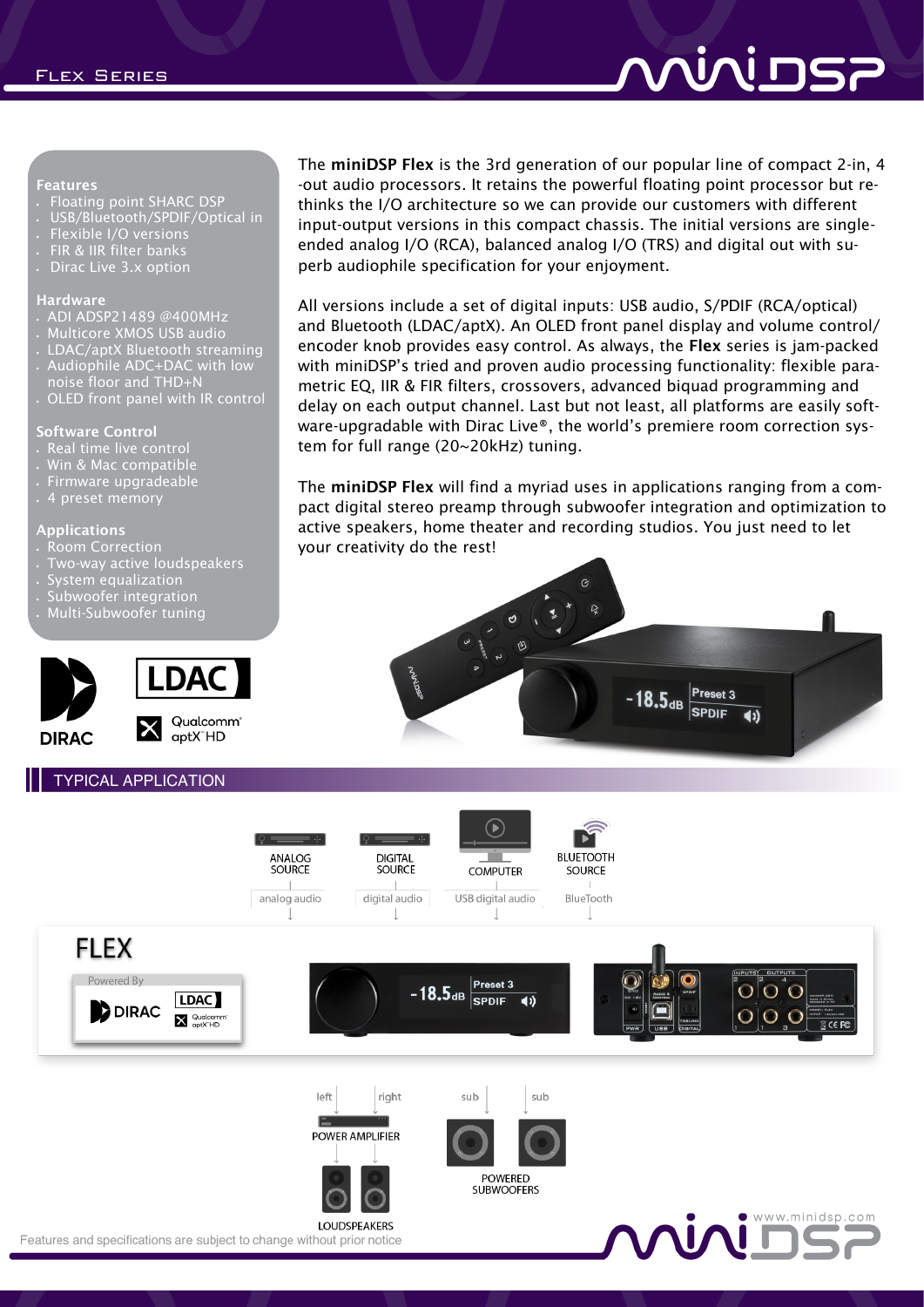# ותות הא

#### Features

- Floating point SHARC DSP
- USB/Bluetooth/SPDIF/Optical in
- Flexible I/O versions
- FIR & IIR filter banks
- Dirac Live 3.x option

#### Hardware

- ADI ADSP21489 @400MHz
- Multicore XMOS USB audio
- LDAC/aptX Bluetooth streaming
- Audiophile ADC+DAC with low
- noise floor and THD+N
- OLED front panel with IR control

#### Software Control

- Real time live control
- Win & Mac compatible
- Firmware upgradeable
- 4 preset memory

#### Applications

- Room Correction
- Two-way active loudspeakers
- System equalization
- Subwoofer integration
- Multi-Subwoofer tuning



### TYPICAL APPLICATION

The miniDSP Flex is the 3rd generation of our popular line of compact 2-in, 4 -out audio processors. It retains the powerful floating point processor but rethinks the I/O architecture so we can provide our customers with different input-output versions in this compact chassis. The initial versions are singleended analog I/O (RCA), balanced analog I/O (TRS) and digital out with superb audiophile specification for your enjoyment.

All versions include a set of digital inputs: USB audio, S/PDIF (RCA/optical) and Bluetooth (LDAC/aptX). An OLED front panel display and volume control/ encoder knob provides easy control. As always, the Flex series is jam-packed with miniDSP's tried and proven audio processing functionality: flexible parametric EQ, IIR & FIR filters, crossovers, advanced biquad programming and delay on each output channel. Last but not least, all platforms are easily software-upgradable with Dirac Live®, the world's premiere room correction system for full range (20~20kHz) tuning.

The miniDSP Flex will find a myriad uses in applications ranging from a compact digital stereo preamp through subwoofer integration and optimization to active speakers, home theater and recording studios. You just need to let your creativity do the rest!



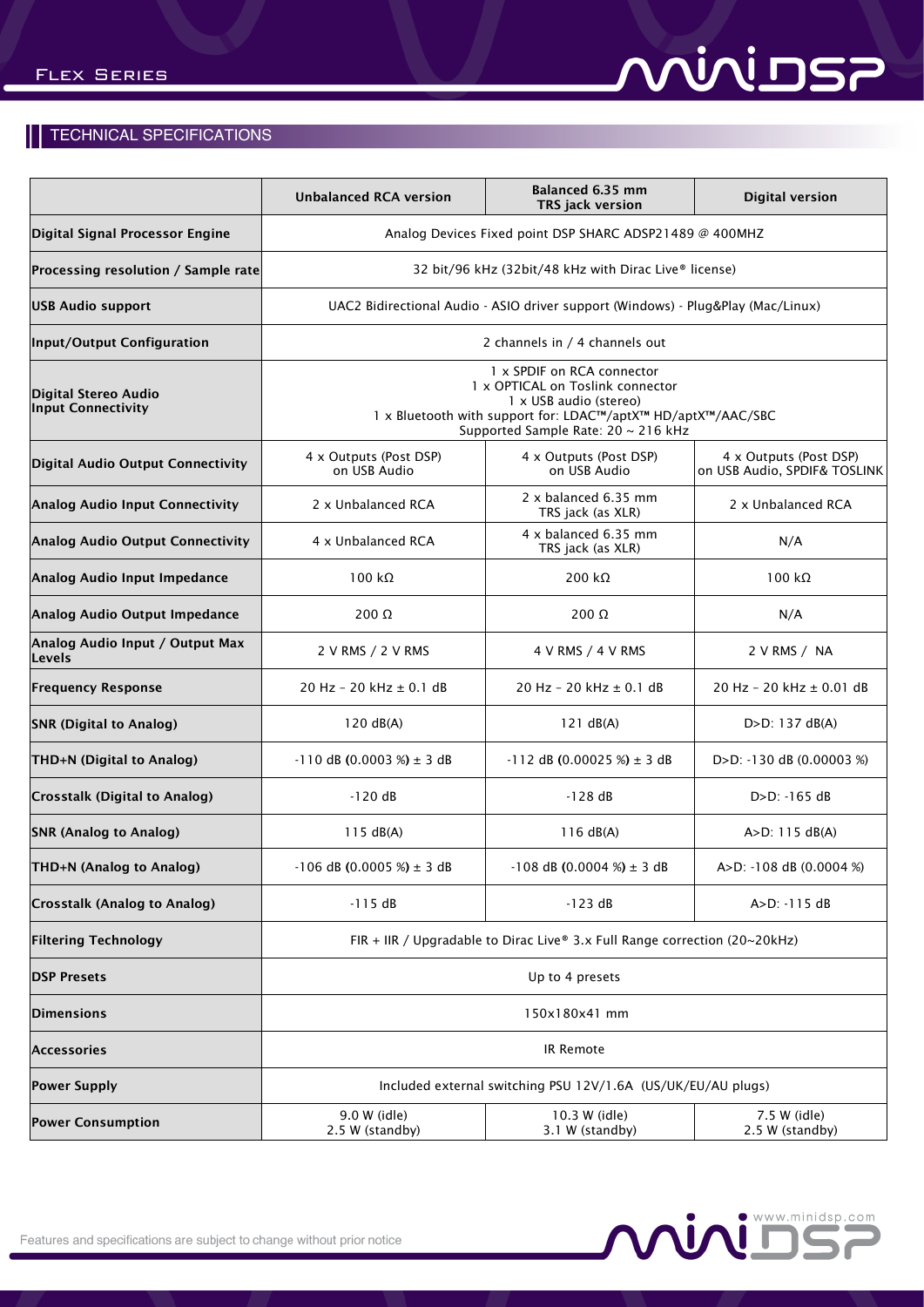# **RODINION**

### **TECHNICAL SPECIFICATIONS**

|                                            | <b>Unbalanced RCA version</b>                                                                                                                                                                   | Balanced 6.35 mm<br>TRS jack version      | <b>Digital version</b>                                 |
|--------------------------------------------|-------------------------------------------------------------------------------------------------------------------------------------------------------------------------------------------------|-------------------------------------------|--------------------------------------------------------|
| Digital Signal Processor Engine            | Analog Devices Fixed point DSP SHARC ADSP21489 @ 400MHZ                                                                                                                                         |                                           |                                                        |
| Processing resolution / Sample rate        | 32 bit/96 kHz (32bit/48 kHz with Dirac Live® license)                                                                                                                                           |                                           |                                                        |
| <b>USB Audio support</b>                   | UAC2 Bidirectional Audio - ASIO driver support (Windows) - Plug&Play (Mac/Linux)                                                                                                                |                                           |                                                        |
| Input/Output Configuration                 | 2 channels in / 4 channels out                                                                                                                                                                  |                                           |                                                        |
| Digital Stereo Audio<br>Input Connectivity | 1 x SPDIF on RCA connector<br>1 x OPTICAL on Toslink connector<br>1 x USB audio (stereo)<br>1 x Bluetooth with support for: LDAC™/aptX™ HD/aptX™/AAC/SBC<br>Supported Sample Rate: 20 ~ 216 kHz |                                           |                                                        |
| Digital Audio Output Connectivity          | 4 x Outputs (Post DSP)<br>on USB Audio                                                                                                                                                          | 4 x Outputs (Post DSP)<br>on USB Audio    | 4 x Outputs (Post DSP)<br>on USB Audio, SPDIF& TOSLINK |
| Analog Audio Input Connectivity            | 2 x Unbalanced RCA                                                                                                                                                                              | 2 x balanced 6.35 mm<br>TRS jack (as XLR) | 2 x Unbalanced RCA                                     |
| <b>Analog Audio Output Connectivity</b>    | 4 x Unbalanced RCA                                                                                                                                                                              | 4 x balanced 6.35 mm<br>TRS jack (as XLR) | N/A                                                    |
| Analog Audio Input Impedance               | $100 \text{ k}\Omega$                                                                                                                                                                           | 200 k $\Omega$                            | 100 kΩ                                                 |
| Analog Audio Output Impedance              | $200 \Omega$                                                                                                                                                                                    | $200 \Omega$                              | N/A                                                    |
| Analog Audio Input / Output Max<br>Levels  | 2 V RMS / 2 V RMS                                                                                                                                                                               | 4 V RMS / 4 V RMS                         | 2 V RMS / NA                                           |
| <b>Frequency Response</b>                  | 20 Hz - 20 kHz $\pm$ 0.1 dB                                                                                                                                                                     | 20 Hz - 20 kHz $\pm$ 0.1 dB               | 20 Hz - 20 kHz ± 0.01 dB                               |
| <b>SNR (Digital to Analog)</b>             | 120 dB(A)                                                                                                                                                                                       | 121 dB(A)                                 | $D > D$ : 137 dB(A)                                    |
| THD+N (Digital to Analog)                  | $-110$ dB (0.0003 %) $\pm$ 3 dB                                                                                                                                                                 | $-112$ dB (0.00025 %) $\pm$ 3 dB          | $D > D$ : -130 dB (0.00003 %)                          |
| Crosstalk (Digital to Analog)              | $-120dB$                                                                                                                                                                                        | $-128dB$                                  | $D > D$ : -165 dB                                      |
| <b>SNR (Analog to Analog)</b>              | 115 dB(A)                                                                                                                                                                                       | 116 dB(A)                                 | $A > D$ : 115 $dB(A)$                                  |
| THD+N (Analog to Analog)                   | $-106$ dB (0.0005 %) $\pm$ 3 dB                                                                                                                                                                 | $-108$ dB (0.0004 %) $\pm$ 3 dB           | A>D: -108 dB (0.0004 %)                                |
| <b>Crosstalk (Analog to Analog)</b>        | $-115dB$                                                                                                                                                                                        | $-123$ dB                                 | $A > D$ : -115 dB                                      |
| <b>Filtering Technology</b>                | FIR + IIR / Upgradable to Dirac Live® 3.x Full Range correction (20~20kHz)                                                                                                                      |                                           |                                                        |
| <b>DSP Presets</b>                         | Up to 4 presets                                                                                                                                                                                 |                                           |                                                        |
| <b>Dimensions</b>                          | 150x180x41 mm                                                                                                                                                                                   |                                           |                                                        |
| Accessories                                | IR Remote                                                                                                                                                                                       |                                           |                                                        |
| <b>Power Supply</b>                        | Included external switching PSU 12V/1.6A (US/UK/EU/AU plugs)                                                                                                                                    |                                           |                                                        |
| <b>Power Consumption</b>                   | 9.0 W (idle)<br>2.5 W (standby)                                                                                                                                                                 | 10.3 W (idle)<br>3.1 W (standby)          | 7.5 W (idle)<br>2.5 W (standby)                        |